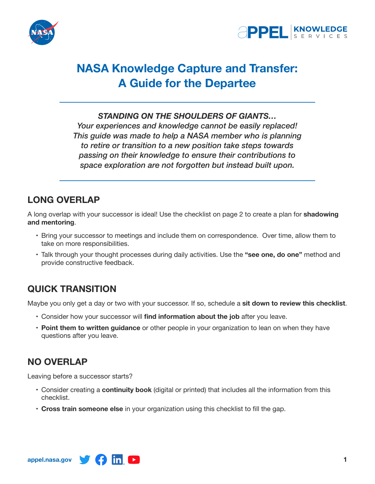



# **NASA Knowledge Capture and Transfer: A Guide for the Departee**

#### *STANDING ON THE SHOULDERS OF GIANTS…*

*Your experiences and knowledge cannot be easily replaced! This guide was made to help a NASA member who is planning to retire or transition to a new position take steps towards passing on their knowledge to ensure their contributions to space exploration are not forgotten but instead built upon.*

## **LONG OVERLAP**

A long overlap with your successor is ideal! Use the checklist on page 2 to create a plan for **shadowing and mentoring**.

- • Bring your successor to meetings and include them on correspondence. Over time, allow them to take on more responsibilities.
- • Talk through your thought processes during daily activities. Use the **"see one, do one"** method and provide constructive feedback.

### **QUICK TRANSITION**

Maybe you only get a day or two with your successor. If so, schedule a **sit down to review this checklist**.

- • Consider how your successor will **find information about the job** after you leave.
- • **Point them to written guidance** or other people in your organization to lean on when they have questions after you leave.

### **NO OVERLAP**

Leaving before a successor starts?

- • Consider creating a **continuity book** (digital or printed) that includes all the information from this checklist.
- • **Cross train someone else** in your organization using this checklist to fill the gap.